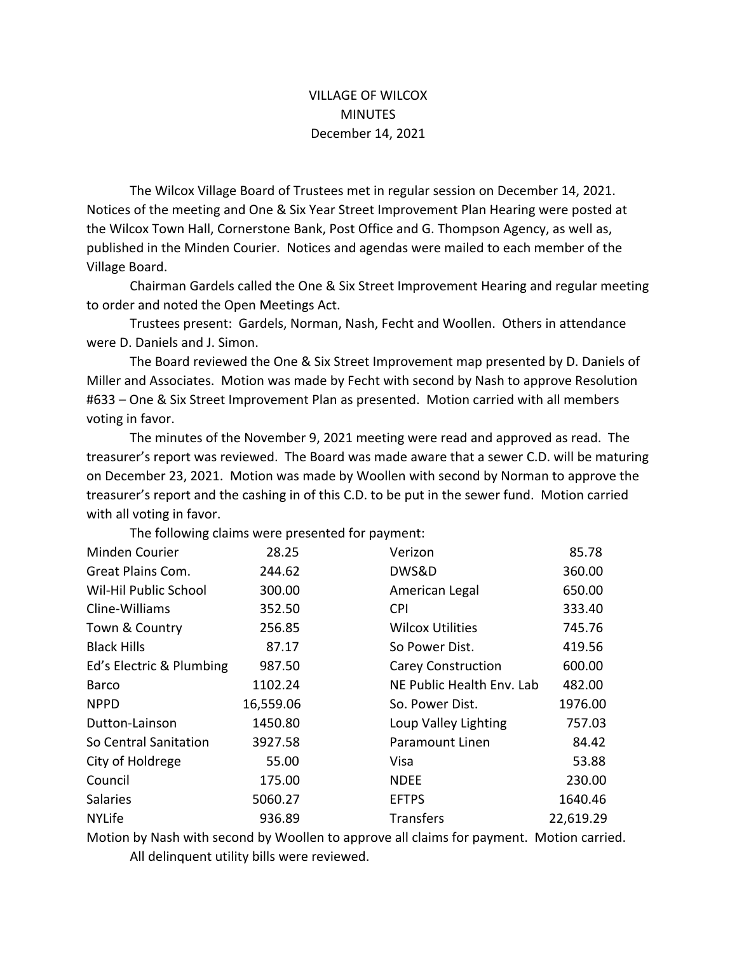## VILLAGE OF WILCOX MINUTES December 14, 2021

The Wilcox Village Board of Trustees met in regular session on December 14, 2021. Notices of the meeting and One & Six Year Street Improvement Plan Hearing were posted at the Wilcox Town Hall, Cornerstone Bank, Post Office and G. Thompson Agency, as well as, published in the Minden Courier. Notices and agendas were mailed to each member of the Village Board.

Chairman Gardels called the One & Six Street Improvement Hearing and regular meeting to order and noted the Open Meetings Act.

Trustees present: Gardels, Norman, Nash, Fecht and Woollen. Others in attendance were D. Daniels and J. Simon.

The Board reviewed the One & Six Street Improvement map presented by D. Daniels of Miller and Associates. Motion was made by Fecht with second by Nash to approve Resolution #633 - One & Six Street Improvement Plan as presented. Motion carried with all members voting in favor.

The minutes of the November 9, 2021 meeting were read and approved as read. The treasurer's report was reviewed. The Board was made aware that a sewer C.D. will be maturing on December 23, 2021. Motion was made by Woollen with second by Norman to approve the treasurer's report and the cashing in of this C.D. to be put in the sewer fund. Motion carried with all voting in favor.

| Minden Courier           | 28.25     | Verizon                   | 85.78     |
|--------------------------|-----------|---------------------------|-----------|
| Great Plains Com.        | 244.62    | DWS&D                     | 360.00    |
| Wil-Hil Public School    | 300.00    | American Legal            | 650.00    |
| Cline-Williams           | 352.50    | <b>CPI</b>                | 333.40    |
| Town & Country           | 256.85    | <b>Wilcox Utilities</b>   | 745.76    |
| <b>Black Hills</b>       | 87.17     | So Power Dist.            | 419.56    |
| Ed's Electric & Plumbing | 987.50    | <b>Carey Construction</b> | 600.00    |
| Barco                    | 1102.24   | NE Public Health Env. Lab | 482.00    |
| <b>NPPD</b>              | 16,559.06 | So. Power Dist.           | 1976.00   |
| Dutton-Lainson           | 1450.80   | Loup Valley Lighting      | 757.03    |
| So Central Sanitation    | 3927.58   | Paramount Linen           | 84.42     |
| City of Holdrege         | 55.00     | Visa                      | 53.88     |
| Council                  | 175.00    | <b>NDEE</b>               | 230.00    |
| <b>Salaries</b>          | 5060.27   | <b>EFTPS</b>              | 1640.46   |
| <b>NYLife</b>            | 936.89    | <b>Transfers</b>          | 22,619.29 |

The following claims were presented for payment:

Motion by Nash with second by Woollen to approve all claims for payment. Motion carried. All delinquent utility bills were reviewed.